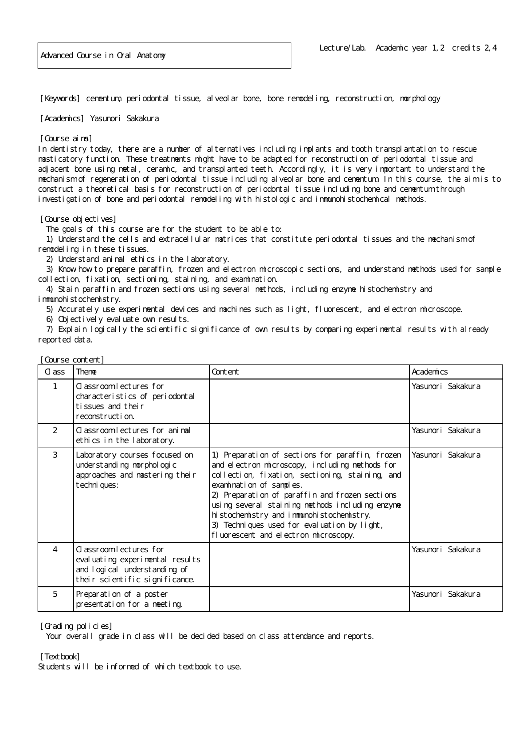[Keywords] cementum, periodontal tissue, alveolar bone, bone remodeling, reconstruction, morphology

[Academics] Yasunori Sakakura

## [Course aims]

In dentistry today, there are a number of alternatives including implants and tooth transplantation to rescue masticatory function. These treatments might have to be adapted for reconstruction of periodontal tissue and adjacent bone using metal, ceramic, and transplanted teeth. Accordingly, it is very important to understand the mechanism of regeneration of periodontal tissue including alveolar bone and cementum. In this course, the aim is to construct a theoretical basis for reconstruction of periodontal tissue including bone and cementum through investigation of bone and periodontal remodeling with histologic and immunohistochemical methods.

[Course objectives]

The goals of this course are for the student to be able to:

 1) Understand the cells and extracellular matrices that constitute periodontal tissues and the mechanism of remodeling in these tissues.

2) Understand animal ethics in the laboratory.

3) Know how to prepare paraffin, frozen and electron microscopic sections, and understand methods used for sample collection, fixation, sectioning, staining, and examination.

 4) Stain paraffin and frozen sections using several methods, including enzyme histochemistry and immunohistochemistry.

5) Accurately use experimental devices and machines such as light, fluorescent, and electron microscope.

6) Objectively evaluate own results.

 7) Explain logically the scientific significance of own results by comparing experimental results with already reported data.

| Cl ass | Theme                                                                                                                        | Content                                                                                                                                                                                                                                                                                                                                                                                                                  | Academics         |
|--------|------------------------------------------------------------------------------------------------------------------------------|--------------------------------------------------------------------------------------------------------------------------------------------------------------------------------------------------------------------------------------------------------------------------------------------------------------------------------------------------------------------------------------------------------------------------|-------------------|
| 1      | C assroom lectures for<br>characteristics of periodontal<br>tissues and their<br>reconstruction.                             |                                                                                                                                                                                                                                                                                                                                                                                                                          | Yasunori Sakakura |
| 2      | Classroom lectures for animal<br>ethics in the laboratory.                                                                   |                                                                                                                                                                                                                                                                                                                                                                                                                          | Yasunori Sakakura |
| 3      | Laboratory courses focused on<br>understanding morphologic<br>approaches and mastering their<br>techni ques:                 | 1) Preparation of sections for paraffin, frozen<br>and electron microscopy, including methods for<br>collection, fixation, sectioning, staining, and<br>examination of samples.<br>2) Preparation of paraffin and frozen sections<br>using several staining methods including enzyme<br>hi stochemistry and immunohistochemistry.<br>3) Techniques used for evaluation by light,<br>fluorescent and electron microscopy. | Yasunori Sakakura |
| 4      | C assroom lectures for<br>eval uating experimental results<br>and logical understanding of<br>their scientific significance. |                                                                                                                                                                                                                                                                                                                                                                                                                          | Yasunori Sakakura |
| 5      | Preparation of a poster<br>presentation for a meeting.                                                                       |                                                                                                                                                                                                                                                                                                                                                                                                                          | Yasunori Sakakura |

[Course content]

[Grading policies]

Your overall grade in class will be decided based on class attendance and reports.

[Textbook]

Students will be informed of which textbook to use.